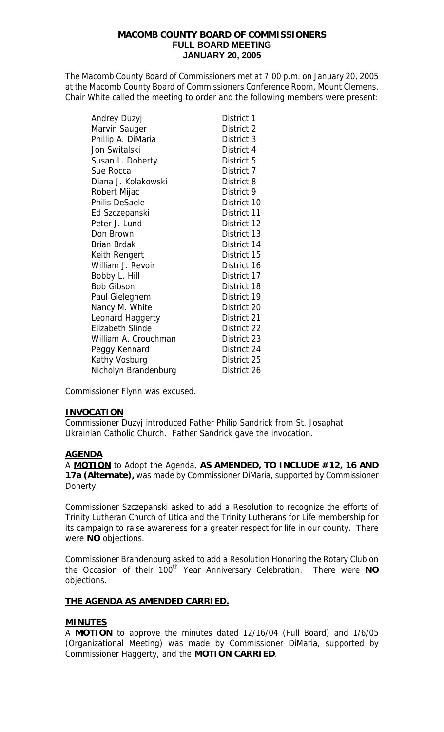#### **MACOMB COUNTY BOARD OF COMMISSIONERS FULL BOARD MEETING JANUARY 20, 2005**

The Macomb County Board of Commissioners met at 7:00 p.m. on January 20, 2005 at the Macomb County Board of Commissioners Conference Room, Mount Clemens. Chair White called the meeting to order and the following members were present:

| Andrey Duzyj            | District 1  |
|-------------------------|-------------|
| Marvin Sauger           | District 2  |
| Phillip A. DiMaria      | District 3  |
| Jon Switalski           | District 4  |
| Susan L. Doherty        | District 5  |
| Sue Rocca               | District 7  |
| Diana J. Kolakowski     | District 8  |
| Robert Mijac            | District 9  |
| <b>Philis DeSaele</b>   | District 10 |
| Ed Szczepanski          | District 11 |
| Peter J. Lund           | District 12 |
| Don Brown               | District 13 |
| <b>Brian Brdak</b>      | District 14 |
| Keith Rengert           | District 15 |
| William J. Revoir       | District 16 |
| Bobby L. Hill           | District 17 |
| <b>Bob Gibson</b>       | District 18 |
| Paul Gieleghem          | District 19 |
| Nancy M. White          | District 20 |
| Leonard Haggerty        | District 21 |
| <b>Elizabeth Slinde</b> | District 22 |
| William A. Crouchman    | District 23 |
| Peggy Kennard           | District 24 |
| Kathy Vosburg           | District 25 |
| Nicholyn Brandenburg    | District 26 |

Commissioner Flynn was excused.

## **INVOCATION**

Commissioner Duzyj introduced Father Philip Sandrick from St. Josaphat Ukrainian Catholic Church. Father Sandrick gave the invocation.

## **AGENDA**

A **MOTION** to Adopt the Agenda, **AS AMENDED, TO INCLUDE #12, 16 AND 17a (Alternate),** was made by Commissioner DiMaria, supported by Commissioner Doherty.

Commissioner Szczepanski asked to add a Resolution to recognize the efforts of Trinity Lutheran Church of Utica and the Trinity Lutherans for Life membership for its campaign to raise awareness for a greater respect for life in our county. There were **NO** objections.

Commissioner Brandenburg asked to add a Resolution Honoring the Rotary Club on the Occasion of their 100<sup>th</sup> Year Anniversary Celebration. There were NO objections.

## **THE AGENDA AS AMENDED CARRIED.**

## **MINUTES**

A **MOTION** to approve the minutes dated 12/16/04 (Full Board) and 1/6/05 (Organizational Meeting) was made by Commissioner DiMaria, supported by Commissioner Haggerty, and the **MOTION CARRIED**.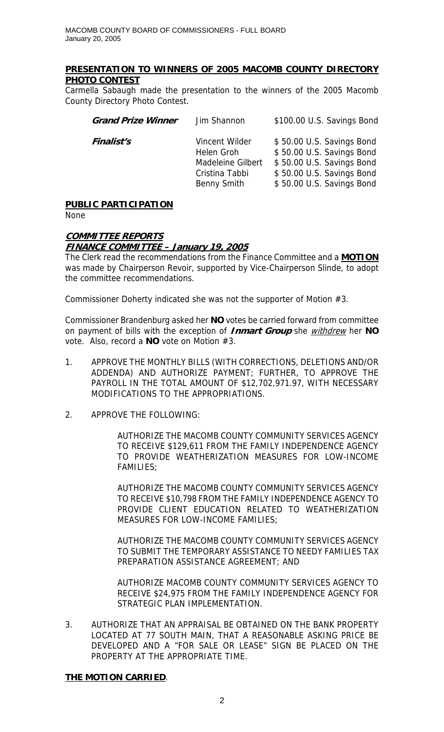## **PRESENTATION TO WINNERS OF 2005 MACOMB COUNTY DIRECTORY PHOTO CONTEST**

Carmella Sabaugh made the presentation to the winners of the 2005 Macomb County Directory Photo Contest.

| <b>Grand Prize Winner</b> | Jim Shannon                                                                               | \$100.00 U.S. Savings Bond                                                                                                                    |
|---------------------------|-------------------------------------------------------------------------------------------|-----------------------------------------------------------------------------------------------------------------------------------------------|
| <b>Finalist's</b>         | Vincent Wilder<br>Helen Groh<br>Madeleine Gilbert<br>Cristina Tabbi<br><b>Benny Smith</b> | \$50.00 U.S. Savings Bond<br>\$50.00 U.S. Savings Bond<br>\$50.00 U.S. Savings Bond<br>\$50.00 U.S. Savings Bond<br>\$50.00 U.S. Savings Bond |

# **PUBLIC PARTICIPATION**

None

## **COMMITTEE REPORTS**

## **FINANCE COMMITTEE – January 19, 2005**

The Clerk read the recommendations from the Finance Committee and a **MOTION** was made by Chairperson Revoir, supported by Vice-Chairperson Slinde, to adopt the committee recommendations.

Commissioner Doherty indicated she was not the supporter of Motion #3.

Commissioner Brandenburg asked her **NO** votes be carried forward from committee on payment of bills with the exception of **Inmart Group** she withdrew her **NO** vote. Also, record a **NO** vote on Motion #3.

- 1. APPROVE THE MONTHLY BILLS (WITH CORRECTIONS, DELETIONS AND/OR ADDENDA) AND AUTHORIZE PAYMENT; FURTHER, TO APPROVE THE PAYROLL IN THE TOTAL AMOUNT OF \$12,702,971.97, WITH NECESSARY MODIFICATIONS TO THE APPROPRIATIONS.
- 2. APPROVE THE FOLLOWING:

AUTHORIZE THE MACOMB COUNTY COMMUNITY SERVICES AGENCY TO RECEIVE \$129,611 FROM THE FAMILY INDEPENDENCE AGENCY TO PROVIDE WEATHERIZATION MEASURES FOR LOW-INCOME FAMILIES;

AUTHORIZE THE MACOMB COUNTY COMMUNITY SERVICES AGENCY TO RECEIVE \$10,798 FROM THE FAMILY INDEPENDENCE AGENCY TO PROVIDE CLIENT EDUCATION RELATED TO WEATHERIZATION MEASURES FOR LOW-INCOME FAMILIES;

AUTHORIZE THE MACOMB COUNTY COMMUNITY SERVICES AGENCY TO SUBMIT THE TEMPORARY ASSISTANCE TO NEEDY FAMILIES TAX PREPARATION ASSISTANCE AGREEMENT; AND

AUTHORIZE MACOMB COUNTY COMMUNITY SERVICES AGENCY TO RECEIVE \$24,975 FROM THE FAMILY INDEPENDENCE AGENCY FOR STRATEGIC PLAN IMPLEMENTATION.

3. AUTHORIZE THAT AN APPRAISAL BE OBTAINED ON THE BANK PROPERTY LOCATED AT 77 SOUTH MAIN, THAT A REASONABLE ASKING PRICE BE DEVELOPED AND A "FOR SALE OR LEASE" SIGN BE PLACED ON THE PROPERTY AT THE APPROPRIATE TIME.

## **THE MOTION CARRIED**.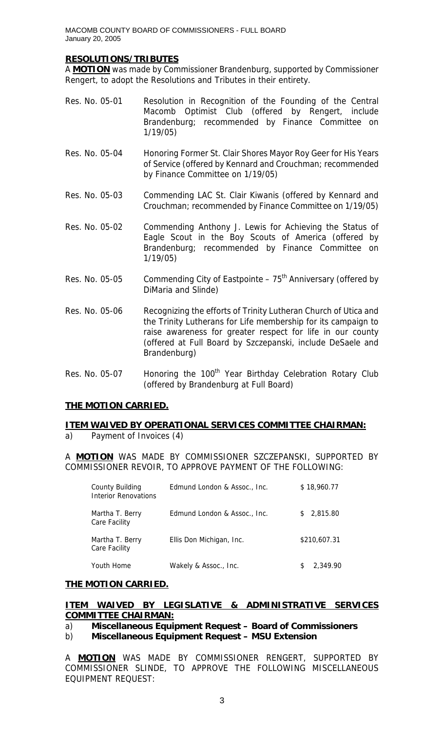### **RESOLUTIONS/TRIBUTES**

A **MOTION** was made by Commissioner Brandenburg, supported by Commissioner Rengert, to adopt the Resolutions and Tributes in their entirety.

- Res. No. 05-01 Resolution in Recognition of the Founding of the Central Macomb Optimist Club (offered by Rengert, include Brandenburg; recommended by Finance Committee on 1/19/05)
- Res. No. 05-04 Honoring Former St. Clair Shores Mayor Roy Geer for His Years of Service (offered by Kennard and Crouchman; recommended by Finance Committee on 1/19/05)
- Res. No. 05-03 Commending LAC St. Clair Kiwanis (offered by Kennard and Crouchman; recommended by Finance Committee on 1/19/05)
- Res. No. 05-02 Commending Anthony J. Lewis for Achieving the Status of Eagle Scout in the Boy Scouts of America (offered by Brandenburg; recommended by Finance Committee on 1/19/05)
- Res. No. 05-05 Commending City of Eastpointe  $-75<sup>th</sup>$  Anniversary (offered by DiMaria and Slinde)
- Res. No. 05-06 Recognizing the efforts of Trinity Lutheran Church of Utica and the Trinity Lutherans for Life membership for its campaign to raise awareness for greater respect for life in our county (offered at Full Board by Szczepanski, include DeSaele and Brandenburg)
- Res. No. 05-07 Honoring the 100<sup>th</sup> Year Birthday Celebration Rotary Club (offered by Brandenburg at Full Board)

## **THE MOTION CARRIED.**

## **ITEM WAIVED BY OPERATIONAL SERVICES COMMITTEE CHAIRMAN:**

a) Payment of Invoices (4)

A **MOTION** WAS MADE BY COMMISSIONER SZCZEPANSKI, SUPPORTED BY COMMISSIONER REVOIR, TO APPROVE PAYMENT OF THE FOLLOWING:

| County Building<br>Interior Renovations | Edmund London & Assoc., Inc. | \$18,960.77    |
|-----------------------------------------|------------------------------|----------------|
| Martha T. Berry<br>Care Facility        | Edmund London & Assoc., Inc. | 2,815.80<br>S. |
| Martha T. Berry<br>Care Facility        | Ellis Don Michigan, Inc.     | \$210,607.31   |
| Youth Home                              | Wakely & Assoc., Inc.        | 2.349.90       |

#### **THE MOTION CARRIED.**

#### **ITEM WAIVED BY LEGISLATIVE & ADMINISTRATIVE SERVICES COMMITTEE CHAIRMAN:**

- a) **Miscellaneous Equipment Request Board of Commissioners**
- b) **Miscellaneous Equipment Request MSU Extension**

A **MOTION** WAS MADE BY COMMISSIONER RENGERT, SUPPORTED BY COMMISSIONER SLINDE, TO APPROVE THE FOLLOWING MISCELLANEOUS EQUIPMENT REQUEST: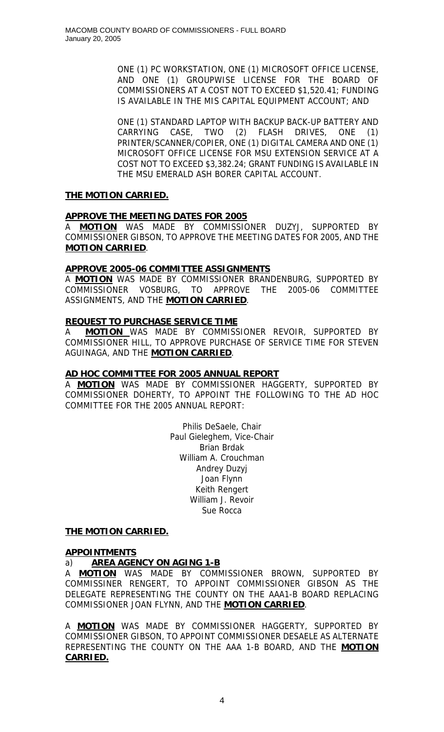ONE (1) PC WORKSTATION, ONE (1) MICROSOFT OFFICE LICENSE, AND ONE (1) GROUPWISE LICENSE FOR THE BOARD OF COMMISSIONERS AT A COST NOT TO EXCEED \$1,520.41; FUNDING IS AVAILABLE IN THE MIS CAPITAL EQUIPMENT ACCOUNT; AND

ONE (1) STANDARD LAPTOP WITH BACKUP BACK-UP BATTERY AND CARRYING CASE, TWO (2) FLASH DRIVES, ONE (1) PRINTER/SCANNER/COPIER, ONE (1) DIGITAL CAMERA AND ONE (1) MICROSOFT OFFICE LICENSE FOR MSU EXTENSION SERVICE AT A COST NOT TO EXCEED \$3,382.24; GRANT FUNDING IS AVAILABLE IN THE MSU EMERALD ASH BORER CAPITAL ACCOUNT.

## **THE MOTION CARRIED.**

## **APPROVE THE MEETING DATES FOR 2005**

A **MOTION** WAS MADE BY COMMISSIONER DUZYJ, SUPPORTED BY COMMISSIONER GIBSON, TO APPROVE THE MEETING DATES FOR 2005, AND THE **MOTION CARRIED**.

## **APPROVE 2005-06 COMMITTEE ASSIGNMENTS**

A **MOTION** WAS MADE BY COMMISSIONER BRANDENBURG, SUPPORTED BY COMMISSIONER VOSBURG, TO APPROVE THE 2005-06 COMMITTEE ASSIGNMENTS, AND THE **MOTION CARRIED**.

## **REQUEST TO PURCHASE SERVICE TIME**

A **MOTION** WAS MADE BY COMMISSIONER REVOIR, SUPPORTED BY COMMISSIONER HILL, TO APPROVE PURCHASE OF SERVICE TIME FOR STEVEN AGUINAGA, AND THE **MOTION CARRIED**.

## **AD HOC COMMITTEE FOR 2005 ANNUAL REPORT**

A **MOTION** WAS MADE BY COMMISSIONER HAGGERTY, SUPPORTED BY COMMISSIONER DOHERTY, TO APPOINT THE FOLLOWING TO THE AD HOC COMMITTEE FOR THE 2005 ANNUAL REPORT:

> Philis DeSaele, Chair Paul Gieleghem, Vice-Chair Brian Brdak William A. Crouchman Andrey Duzyj Joan Flynn Keith Rengert William J. Revoir Sue Rocca

## **THE MOTION CARRIED.**

## **APPOINTMENTS**

## a) **AREA AGENCY ON AGING 1-B**

A **MOTION** WAS MADE BY COMMISSIONER BROWN, SUPPORTED BY COMMISSINER RENGERT, TO APPOINT COMMISSIONER GIBSON AS THE DELEGATE REPRESENTING THE COUNTY ON THE AAA1-B BOARD REPLACING COMMISSIONER JOAN FLYNN, AND THE **MOTION CARRIED**.

A **MOTION** WAS MADE BY COMMISSIONER HAGGERTY, SUPPORTED BY COMMISSIONER GIBSON, TO APPOINT COMMISSIONER DESAELE AS ALTERNATE REPRESENTING THE COUNTY ON THE AAA 1-B BOARD, AND THE **MOTION CARRIED.**